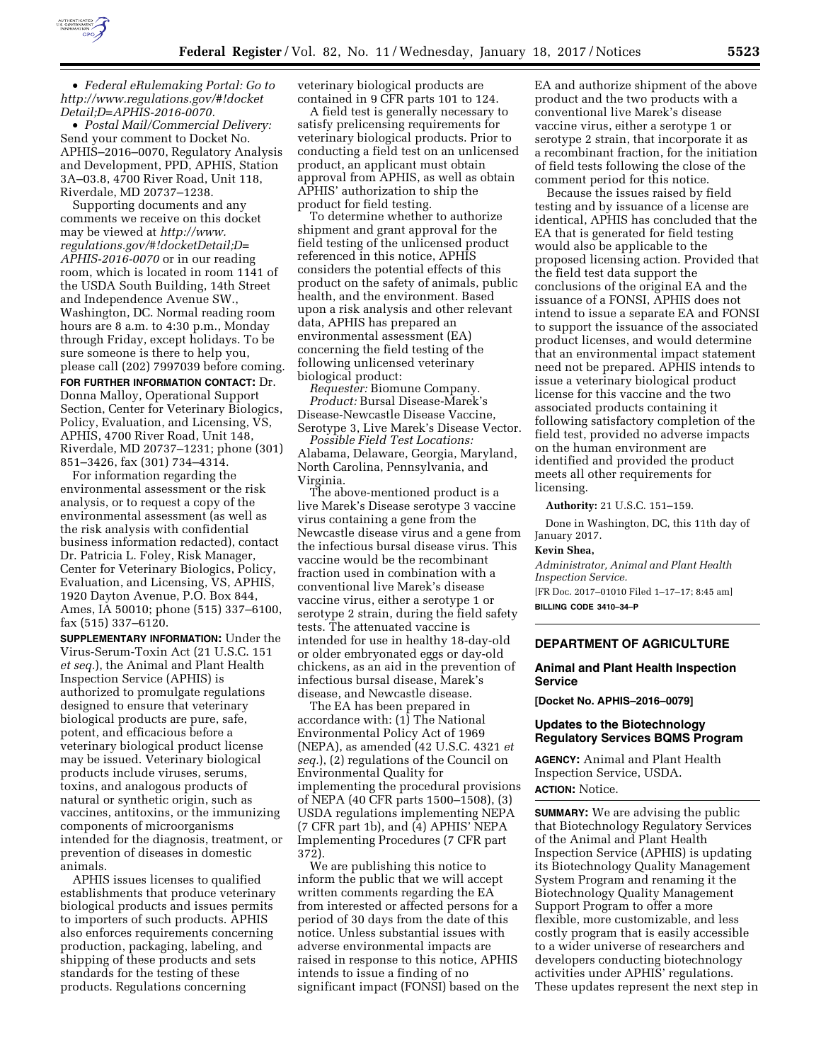

• *Federal eRulemaking Portal: Go to [http://www.regulations.gov/#!docket](http://www.regulations.gov/#!docketDetail;D=APHIS-2016-0070) [Detail;D=APHIS-2016-0070.](http://www.regulations.gov/#!docketDetail;D=APHIS-2016-0070)* 

• *Postal Mail/Commercial Delivery:*  Send your comment to Docket No. APHIS–2016–0070, Regulatory Analysis and Development, PPD, APHIS, Station 3A–03.8, 4700 River Road, Unit 118, Riverdale, MD 20737–1238.

Supporting documents and any comments we receive on this docket may be viewed at *[http://www.](http://www.regulations.gov/#!docketDetail;D=APHIS-2016-0070) [regulations.gov/#!docketDetail;D=](http://www.regulations.gov/#!docketDetail;D=APHIS-2016-0070) [APHIS-2016-0070](http://www.regulations.gov/#!docketDetail;D=APHIS-2016-0070)* or in our reading room, which is located in room 1141 of the USDA South Building, 14th Street and Independence Avenue SW., Washington, DC. Normal reading room hours are 8 a.m. to 4:30 p.m., Monday through Friday, except holidays. To be sure someone is there to help you, please call (202) 7997039 before coming.

**FOR FURTHER INFORMATION CONTACT:** Dr. Donna Malloy, Operational Support Section, Center for Veterinary Biologics, Policy, Evaluation, and Licensing, VS, APHIS, 4700 River Road, Unit 148, Riverdale, MD 20737–1231; phone (301) 851–3426, fax (301) 734–4314.

For information regarding the environmental assessment or the risk analysis, or to request a copy of the environmental assessment (as well as the risk analysis with confidential business information redacted), contact Dr. Patricia L. Foley, Risk Manager, Center for Veterinary Biologics, Policy, Evaluation, and Licensing, VS, APHIS, 1920 Dayton Avenue, P.O. Box 844, Ames, IA 50010; phone (515) 337–6100, fax (515) 337–6120.

**SUPPLEMENTARY INFORMATION:** Under the Virus-Serum-Toxin Act (21 U.S.C. 151 *et seq.*), the Animal and Plant Health Inspection Service (APHIS) is authorized to promulgate regulations designed to ensure that veterinary biological products are pure, safe, potent, and efficacious before a veterinary biological product license may be issued. Veterinary biological products include viruses, serums, toxins, and analogous products of natural or synthetic origin, such as vaccines, antitoxins, or the immunizing components of microorganisms intended for the diagnosis, treatment, or prevention of diseases in domestic animals.

APHIS issues licenses to qualified establishments that produce veterinary biological products and issues permits to importers of such products. APHIS also enforces requirements concerning production, packaging, labeling, and shipping of these products and sets standards for the testing of these products. Regulations concerning

veterinary biological products are contained in 9 CFR parts 101 to 124.

A field test is generally necessary to satisfy prelicensing requirements for veterinary biological products. Prior to conducting a field test on an unlicensed product, an applicant must obtain approval from APHIS, as well as obtain APHIS' authorization to ship the product for field testing.

To determine whether to authorize shipment and grant approval for the field testing of the unlicensed product referenced in this notice, APHIS considers the potential effects of this product on the safety of animals, public health, and the environment. Based upon a risk analysis and other relevant data, APHIS has prepared an environmental assessment (EA) concerning the field testing of the following unlicensed veterinary biological product:

*Requester:* Biomune Company. *Product:* Bursal Disease-Marek's Disease-Newcastle Disease Vaccine, Serotype 3, Live Marek's Disease Vector.

*Possible Field Test Locations:*  Alabama, Delaware, Georgia, Maryland, North Carolina, Pennsylvania, and Virginia.

The above-mentioned product is a live Marek's Disease serotype 3 vaccine virus containing a gene from the Newcastle disease virus and a gene from the infectious bursal disease virus. This vaccine would be the recombinant fraction used in combination with a conventional live Marek's disease vaccine virus, either a serotype 1 or serotype 2 strain, during the field safety tests. The attenuated vaccine is intended for use in healthy 18-day-old or older embryonated eggs or day-old chickens, as an aid in the prevention of infectious bursal disease, Marek's disease, and Newcastle disease.

The EA has been prepared in accordance with: (1) The National Environmental Policy Act of 1969 (NEPA), as amended (42 U.S.C. 4321 *et seq.*), (2) regulations of the Council on Environmental Quality for implementing the procedural provisions of NEPA (40 CFR parts 1500–1508), (3) USDA regulations implementing NEPA (7 CFR part 1b), and (4) APHIS' NEPA Implementing Procedures (7 CFR part 372).

We are publishing this notice to inform the public that we will accept written comments regarding the EA from interested or affected persons for a period of 30 days from the date of this notice. Unless substantial issues with adverse environmental impacts are raised in response to this notice, APHIS intends to issue a finding of no significant impact (FONSI) based on the

EA and authorize shipment of the above product and the two products with a conventional live Marek's disease vaccine virus, either a serotype 1 or serotype 2 strain, that incorporate it as a recombinant fraction, for the initiation of field tests following the close of the comment period for this notice.

Because the issues raised by field testing and by issuance of a license are identical, APHIS has concluded that the EA that is generated for field testing would also be applicable to the proposed licensing action. Provided that the field test data support the conclusions of the original EA and the issuance of a FONSI, APHIS does not intend to issue a separate EA and FONSI to support the issuance of the associated product licenses, and would determine that an environmental impact statement need not be prepared. APHIS intends to issue a veterinary biological product license for this vaccine and the two associated products containing it following satisfactory completion of the field test, provided no adverse impacts on the human environment are identified and provided the product meets all other requirements for licensing.

**Authority:** 21 U.S.C. 151–159.

Done in Washington, DC, this 11th day of January 2017.

#### **Kevin Shea,**

*Administrator, Animal and Plant Health Inspection Service.* 

[FR Doc. 2017–01010 Filed 1–17–17; 8:45 am] **BILLING CODE 3410–34–P** 

# **DEPARTMENT OF AGRICULTURE**

# **Animal and Plant Health Inspection Service**

**[Docket No. APHIS–2016–0079]** 

### **Updates to the Biotechnology Regulatory Services BQMS Program**

**AGENCY:** Animal and Plant Health Inspection Service, USDA. **ACTION:** Notice.

**SUMMARY:** We are advising the public that Biotechnology Regulatory Services of the Animal and Plant Health Inspection Service (APHIS) is updating its Biotechnology Quality Management System Program and renaming it the Biotechnology Quality Management Support Program to offer a more flexible, more customizable, and less costly program that is easily accessible to a wider universe of researchers and developers conducting biotechnology activities under APHIS' regulations. These updates represent the next step in